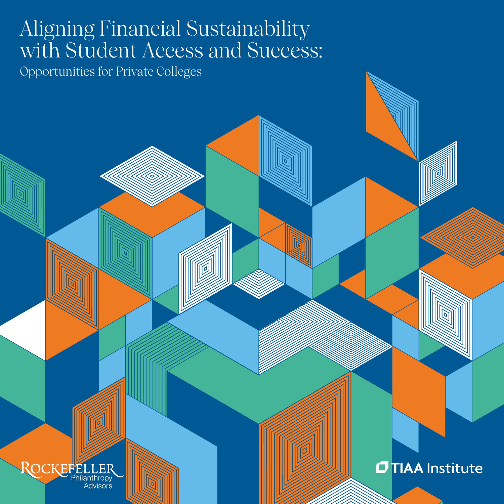# Aligning Financial Sustainability 2021–2021 - 2021 wit h Student Access and Success:

Opportunities for Private Colleges



**OTIAA** Institute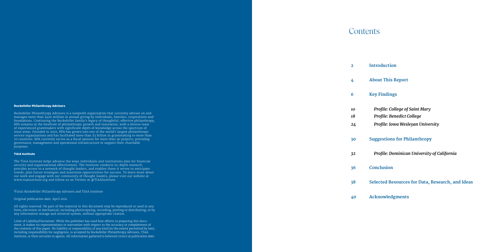#### **Rockefeller Philanthropy Advisors**

Rockefeller Philanthropy Advisors is a nonprofit organization that currently advises on and manages more than \$400 million in annual giving by individuals, families, corporations and foundations. Continuing the Rockefeller family's legacy of thoughtful, effective philanthropy, RPA remains at the forefront of philanthropic growth and innovation, with a diverse team of experienced grantmakers with significant depth of knowledge across the spectrum of issue areas. Founded in 2002, RPA has grown into one of the world's largest philanthropic service organizations and has facilitated more than \$3 billion in grantmaking to more than 70 countries. RPA currently serves as a fiscal sponsor for more than 90 projects, providing governance, management and operational infrastructure to support their charitable purposes.

#### **TIAA Institute**

The TIAA Institute helps advance the ways individuals and institutions plan for financial security and organizational effectiveness. The Institute conducts in-depth research, provides access to a network of thought leaders, and enables those it serves to anticipate trends, plan future strategies and maximize opportunities for success. To learn more about our work and engage with our community of thought leaders, please visit our website at www.tiaainstitute.org and follow us on Twitter at @TIAAInstitute.

©2021 Rockefeller Philanthropy Advisors and TIAA Institute

Original publication date: April 2021

All rights reserved. No part of the material in this document may be reproduced or used in any form, electronic or mechanical, including photocopying, recording, posting or distributing, or by any information storage and retrieval system, without appropriate citation.

Limit of Liability/Disclaimer: While the publisher has used best efforts in preparing this document, it makes no representations or warranties with respect to the accuracy or completeness of the contents of this paper. No liability or responsibility of any kind (to the extent permitted by law), including responsibility for negligence, is accepted by Rockefeller Philanthropy Advisors, TIAA Institute, or their servants or agents. All information gathered is believed correct at publication date.

**Introduction**

**About This Report**

### **Key Findings**

*Profile: College of Saint Mary Profile: Benedict College Profile: Iowa Wesleyan University*

**Suggestions for Philanthropy**

*Profile: Dominican University of California*

**Conclusion** *32* **36**

**Selected Resources for Data, Research, and Ideas 38**

### **Contents**

**2**

**4**

**6**

**Acknowledgments 40**

*10 18*

*24* **30**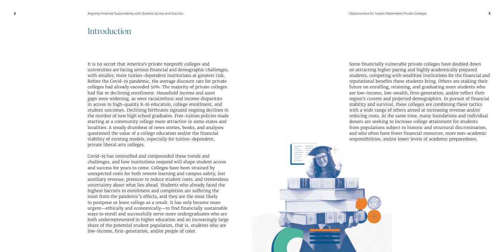### Introduction

It is no secret that America's private nonprofit colleges and universities are facing serious financial and demographic challenges, with smaller, more tuition-dependent institutions at greatest risk. Before the Covid-19 pandemic, the average discount rate for private colleges had already exceeded 50%. The majority of private colleges had flat or declining enrollment. Household income and asset gaps were widening, as were racial/ethnic and income disparities in access to high-quality K-16 education, college enrollment, and student outcomes. Declining birthrates signaled ongoing declines in the number of new high school graduates. Free-tuition policies made starting at a community college more attractive in some states and localities. A steady drumbeat of news stories, books, and analyses questioned the value of a college education and/or the financial viability of existing models, especially for tuition-dependent, private liberal arts colleges.

Covid-19 has intensified and compounded these trends and challenges, and how institutions respond will shape student access and success for years to come. Colleges have been strained by unexpected costs for both remote learning and campus safety, lost auxiliary revenue, pressure to reduce student costs, and tremendous uncertainty about what lies ahead. Students who already faced the highest barriers to enrollment and completion are suffering the most from the pandemic's effects, and they are the most likely to postpone or leave college as a result. It has only become more urgent—ethically and economically—to find financially sustainable ways to enroll and successfully serve more undergraduates who are both underrepresented in higher education and an increasingly large share of the potential student population, that is, students who are low-income, first-generation, and/or people of color.

Some financially vulnerable private colleges have doubled down on attracting higher paying and highly academically prepared students, competing with wealthier institutions for the financial and reputational benefits these students bring. Others are staking their future on enrolling, retaining, and graduating more students who are low-income, low-wealth, first-generation, and/or reflect their region's current and projected demographics. In pursuit of financial stability and survival, these colleges are combining these tactics with a wide range of others aimed at increasing revenue and/or reducing costs. At the same time, many foundations and individual donors are seeking to increase college attainment for students from populations subject to historic and structural discrimination, and who often have fewer financial resources, more non-academic responsibilities, and/or lower levels of academic preparedness.

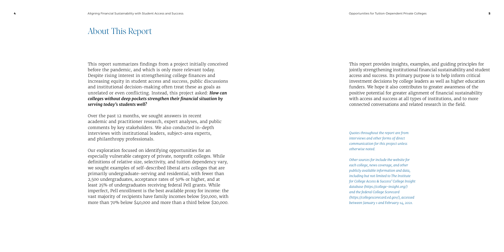## About This Report

This report summarizes findings from a project initially conceived before the pandemic, and which is only more relevant today. Despite rising interest in strengthening college finances and increasing equity in student access and success, public discussions and institutional decision-making often treat these as goals as unrelated or even conflicting. Instead, this project asked: *How can colleges without deep pockets strengthen their financial situation by serving today's students well?*

Over the past 12 months, we sought answers in recent academic and practitioner research, expert analyses, and public comments by key stakeholders. We also conducted in-depth interviews with institutional leaders, subject-area experts, and philanthropy professionals.

Our exploration focused on identifying opportunities for an especially vulnerable category of private, nonprofit colleges. While definitions of relative size, selectivity, and tuition dependency vary, we sought examples of self-described liberal arts colleges that are primarily undergraduate-serving and residential, with fewer than 2,500 undergraduates, acceptance rates of 50% or higher, and at least 25% of undergraduates receiving federal Pell grants. While imperfect, Pell enrollment is the best available proxy for income: the vast majority of recipients have family incomes below \$50,000, with more than 70% below \$40,000 and more than a third below \$20,000.

This report provides insights, examples, and guiding principles for jointly strengthening institutional financial sustainability and student access and success. Its primary purpose is to help inform critical investment decisions by college leaders as well as higher education funders. We hope it also contributes to greater awareness of the positive potential for greater alignment of financial sustainability with access and success at all types of institutions, and to more connected conversations and related research in the field.

*Quotes throughout the report are from interviews and other forms of direct communication for this project unless otherwise noted.* 

*Other sources for include the website for each college, news coverage, and other publicly available information and data, including but not limited to The Institute for College Access & Success' College Insight database (https://college-insight.org/) and the federal College Scorecard (https://collegescorecard.ed.gov/), accessed between January 1 and February 14, 2021.*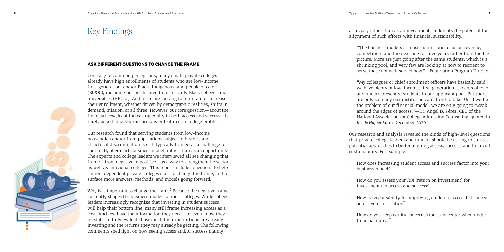as a cost, rather than as an investment, undercuts the potential for alignment of such efforts with financial sustainability.

"The business models at most institutions focus on revenue, competition, and the next one to three years rather than the big picture. More are just going after the same students, which is a shrinking pool, and very few are looking at how to reorient to serve those not well served now."—Foundation Program Director

"My colleagues or chief enrollment officers have basically said we have plenty of low-income, first-generation students of color and underrepresented students in our applicant pool. But there are only so many our institution can afford to take. Until we fix the problem of our financial model, we are only going to tweak around the edges of access."—Dr. Angel B. Pérez, CEO of the National Association for College Admission Counseling, quoted in *Inside Higher Ed* in December 2020

Our research and analysis revealed the kinds of high-level questions that private college leaders and funders should be asking to surface potential approaches to better aligning access, success, and financial sustainability. For example:

- 
- 
- 
- 



• How does increasing student access and success factor into your business model?

• How do you assess your ROI (return on investment) for investments in access and success?

• How is responsibility for improving student success distributed across your institution?

• How do you keep equity concerns front and center when under financial duress?

#### **ASK DIFFERENT QUESTIONS TO CHANGE THE FRAME**

Contrary to common perceptions, many small, private colleges already have high enrollments of students who are low-income, first-generation, and/or Black, Indigenous, and people of color (BIPOC), including but not limited to historically Black colleges and universities (HBCUs). And more are looking to maintain or increase their enrollment, whether driven by demographic realities, shifts in demand, mission, or all three. However, our core question—about the financial *benefits* of increasing equity in both access and success—is rarely asked in public discussions or featured in college profiles.

Our research found that serving students from low-income households and/or from populations subject to historic and structural discrimination is still typically framed as a challenge to the small, liberal arts business model, rather than as an opportunity. The experts and college leaders we interviewed all see changing that frame—from negative to positive—as a way to strengthen the sector as well as individual colleges. This report includes questions to help tuition-dependent private colleges start to change the frame, and to surface more answers, methods, and models going forward.

Why is it important to change the frame? Because the negative frame currently shapes the business models of most colleges. While college leaders increasingly recognize that investing in student success will help their bottom line, many still frame increasing access as a cost. And few have the information they need—or even know they need it—to fully evaluate how much their institutions are already investing and the returns they may already be getting. The following comments shed light on how seeing access and/or success mainly

# Key Findings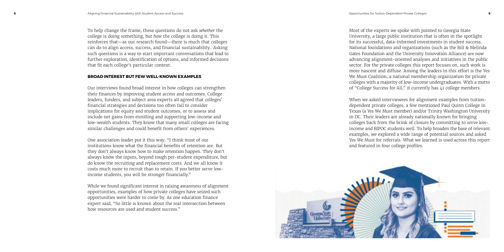To help change the frame, these questions do not ask *whether* the college is doing something, but *how* the college is doing it. This reinforces that—as our research found—there is much that colleges can do to align access, success, and financial sustainability.. Asking such questions is a way to start important conversations that lead to further exploration, identification of options, and informed decisions that fit each college's particular context.

#### **BROAD INTEREST BUT FEW WELL-KNOWN EXAMPLES**

Our interviews found broad interest in how colleges can strengthen their finances by improving student access and outcomes. College leaders, funders, and subject area experts all agreed that colleges' financial strategies and decisions too often fail to consider implications for equity and student outcomes, or to assess and include net gains from enrolling and supporting low-income and low-wealth students. They know that many small colleges are facing similar challenges and could benefit from others' experiences.

One association leader put it this way: "I think most of our institutions know what the financial benefits of retention are. But they don't always know how to make retention happen. They don't always know the inputs, beyond rough per-student expenditure, but do know the recruiting and replacement costs. And we all know it costs much more to recruit than to retain. If you better serve lowincome students, you will be stronger financially."

While we found significant interest in raising awareness of alignment opportunities, examples of how private colleges have seized such opportunities were harder to come by. As one education finance expert said, "So little is known about the real intersection between how resources are used and student success."

Most of the experts we spoke with pointed to Georgia State University, a large public institution that is often in the spotlight for its successful, data-informed investments in student success. National foundations and organizations (such as the Bill & Melinda Gates Foundation and the University Innovation Alliance) are now advancing alignment-oriented analyses and initiatives in the public sector. For the private colleges this report focuses on, such work is more nascent and diffuse. Among the leaders in this effort is the Yes We Must Coalition, a national membership organization for private colleges with a majority of low-income undergraduates. With a motto of "College Success for All," it currently has 41 college members.



When we asked interviewees for alignment examples from tuitiondependent private colleges, a few mentioned Paul Quinn College in Texas (a Yes We Must member) and/or Trinity Washington University in DC. Their leaders are already nationally known for bringing colleges back from the brink of closure by committing to serve lowincome and BIPOC students well. To help broaden the base of relevant examples, we explored a wide range of potential sources and asked Yes We Must for referrals. What we learned is used across this report and featured in four college profiles.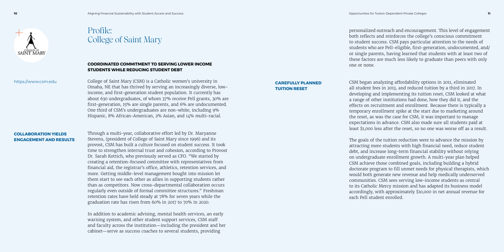

# Profile: College of Saint Mary

#### **COORDINATED COMMITMENT TO SERVING LOWER INCOME STUDENTS WHILE REDUCING STUDENT DEBT**

College of Saint Mary (CSM) is a Catholic women's university in Omaha, NE that has thrived by serving an increasingly diverse, lowincome, and first-generation student population. It currently has about 630 undergraduates, of whom 37% receive Pell grants, 30% are first-generation, 15% are single parents, and 6% are undocumented. One third of CSM's undergraduates are non-white, including 9% Hispanic, 8% African-American, 2% Asian, and 14% multi-racial.

Through a multi-year, collaborative effort led by Dr. Maryanne Stevens, (president of College of Saint Mary since 1996) and its provost, CSM has built a culture focused on student success. It took time to strengthen internal trust and cohesion, according to Provost Dr. Sarah Kottich, who previously served as CFO. "We started by creating a retention-focused committee with representatives from financial aid, the registrar's office, athletics, retention services, and more. Getting middle-level management bought into mission let them start to see each other as allies in supporting students rather than as competitors. Now cross-departmental collaboration occurs regularly even outside of formal committee structures." Freshman retention rates have held steady at 78% for seven years while the graduation rate has risen from 60% in 2017 to 70% in 2020.

In addition to academic advising, mental health services, an early warning system, and other student support services, CSM staff and faculty across the institution—including the president and her cabinet—serve as success coaches to several students, providing

personalized outreach and encouragement. This level of engagement both reflects and reinforces the college's conscious commitment to student success. CSM pays particular attention to the needs of students who are Pell-eligible, first-generation, undocumented, and/ or single parents, having learned that students with at least two of these factors are much less likely to graduate than peers with only one or none.

CSM began analyzing affordability options in 2011, eliminated all student fees in 2013, and reduced tuition by a third in 2017. In developing and implementing its tuition reset, CSM looked at what a range of other institutions had done, how they did it, and the effects on recruitment and enrollment. Because there is typically a temporary enrollment spike at the start due to marketing around the reset, as was the case for CSM, it was important to manage expectations in advance. CSM also made sure all students paid at least \$1,000 less after the reset, so no one was worse off as a result.

The goals of the tuition reduction were to advance the mission by attracting more students with high financial need, reduce student debt, and increase long-term financial stability without relying on undergraduate enrollment growth. A multi-year plan helped CSM achieve those combined goals, including building a hybrid doctorate program to fill unmet needs for physical therapists, which would both generate new revenue and help medically underserved communities. CSM sees serving low-income students as central to its Catholic Mercy mission and has adapted its business model accordingly, with approximately \$10,000 in net annual revenue for each Pell student enrolled.

**COLLABORATION YIELDS ENGAGEMENT AND RESULTS**

#### **CAREFULLY PLANNED TUITION RESET**

https://www.csm.edu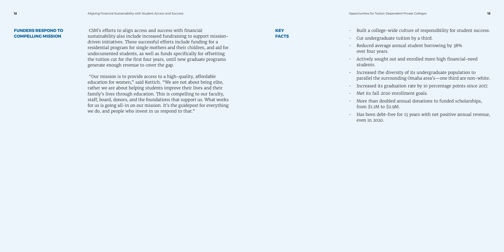CSM's efforts to align access and success with financial sustainability also include increased fundraising to support missiondriven initiatives. These successful efforts include funding for a residential program for single mothers and their children, and aid for undocumented students, as well as funds specifically for offsetting the tuition cut for the first four years, until new graduate programs generate enough revenue to cover the gap.

 "Our mission is to provide access to a high-quality, affordable education for women," said Kottich. "We are not about being elite, rather we are about helping students improve their lives and their family's lives through education. This is compelling to our faculty, staff, board, donors, and the foundations that support us. What works for us is going all-in on our mission. It's the guidepost for everything we do, and people who invest in us respond to that."

- 
- Built a college-wide culture of responsibility for student success. • Cut undergraduate tuition by a third.
- Reduced average annual student borrowing by 38% over four years.
- Actively sought out and enrolled more high financial-need students.
- Increased the diversity of its undergraduate population to parallel the surrounding Omaha area's—one third are non-white.
- Increased its graduation rate by 10 percentage points since 2017.
- Met its fall 2020 enrollment goals.
- More than doubled annual donations to funded scholarships, from \$1.1M to \$2.9M.
- Has been debt-free for 13 years with net positive annual revenue, even in 2020.

#### **FUNDERS RESPOND TO COMPELLING MISSION**

| KEY          |  |
|--------------|--|
| <b>FACTS</b> |  |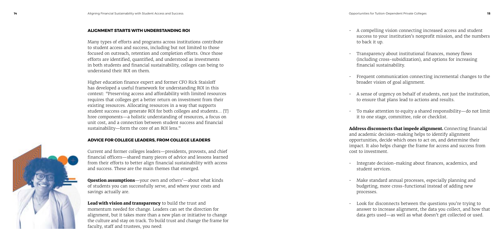#### **ALIGNMENT STARTS WITH UNDERSTANDING ROI**

Many types of efforts and programs across institutions contribute to student access and success, including but not limited to those focused on outreach, retention and completion efforts. Once those efforts are identified, quantified, and understood as investments in both students and financial sustainability, colleges can being to understand their ROI on them.

Higher education finance expert and former CFO Rick Staisloff has developed a useful framework for understanding ROI in this context: "Preserving access and affordability with limited resources requires that colleges get a better return on investment from their existing resources. Allocating resources in a way that supports student success can generate ROI for both colleges and students… [T] hree components—a holistic understanding of resources, a focus on unit cost, and a connection between student success and financial sustainability—form the core of an ROI lens."

Lead with vision and transparency to build the trust and momentum needed for change. Leaders can set the direction for alignment, but it takes more than a new plan or initiative to change the culture and stay on track. To build trust and change the frame for faculty, staff and trustees, you need:

#### **ADVICE FOR COLLEGE LEADERS, FROM COLLEGE LEADERS**

Current and former colleges leaders—presidents, provosts, and chief financial officers—shared many pieces of advice and lessons learned from their efforts to better align financial sustainability with access and success. These are the main themes that emerged.

Address disconnects that impede alignment. Connecting financial and academic decision-making helps to identify alignment opportunities, decide which ones to act on, and determine their impact. It also helps change the frame for access and success from cost to investment.

Question assumptions—your own and others'—about what kinds of students you can successfully serve, and where your costs and savings actually are.

> Look for disconnects between the questions you're trying to answer to increase alignment, the data you collect, and how that data gets used—as well as what doesn't get collected or used.

• A compelling vision connecting increased access and student success to your institution's nonprofit mission, and the numbers

- to back it up.
- 
- 
- 
- 

• Transparency about institutional finances, money flows (including cross-subsidization), and options for increasing financial sustainability.

• Frequent communication connecting incremental changes to the broader vision of goal alignment.

• A sense of urgency on behalf of students, not just the institution, to ensure that plans lead to actions and results.

• To make attention to equity a shared responsibility—do not limit it to one stage, committee, role or checklist.

• Integrate decision-making about finances, academics, and student services.

• Make standard annual processes, especially planning and budgeting, more cross-functional instead of adding new

- 
- processes.
- 

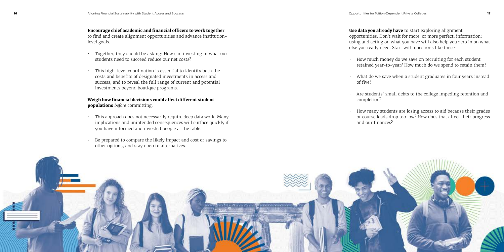#### Encourage chief academic and financial officers to work together

to find and create alignment opportunities and advance institutionlevel goals.

- Together, they should be asking: How can investing in what our students need to succeed reduce our net costs?
- This high-level coordination is essential to identify both the costs and benefits of designated investments in access and success, and to reveal the full range of current and potential investments beyond boutique programs.

Use data you already have to start exploring alignment opportunities. Don't wait for more, or more perfect, information; using and acting on what you have will also help you zero in on what else you really need. Start with questions like these:

#### Weigh how financial decisions could affect different student populations *before* committing.

- This approach does not necessarily require deep data work. Many implications and unintended consequences will surface quickly if you have informed and invested people at the table.
- Be prepared to compare the likely impact and cost or savings to other options, and stay open to alternatives.

• How much money do we save on recruiting for each student retained year-to-year? How much do we spend to retain them?

What do we save when a student graduates in four years instead

• Are students' small debts to the college impeding retention and

- 
- of five?
- completion?
- 



• How many students are losing access to aid because their grades or course loads drop too low? How does that affect their progress and our finances?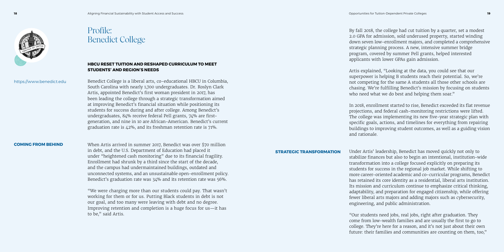

# Profile: Benedict College

#### **HBCU RESET TUITION AND RESHAPED CURRICULUM TO MEET STUDENTS' AND REGION'S NEEDS**

Benedict College is a liberal arts, co-educational HBCU in Columbia, South Carolina with nearly 1,700 undergraduates. Dr. Roslyn Clark Artis, appointed Benedict's first woman president in 2017, has been leading the college through a strategic transformation aimed at improving Benedict's financial situation while positioning its students for success during and after college. Among Benedict's undergraduates, 84% receive federal Pell grants, 74% are firstgeneration, and nine in 10 are African-American. Benedict's current graduation rate is 42%, and its freshman retention rate is 71%.

Artis explained, "Looking at the data, you could see that our superpower is helping B students reach their potential. So, we're not competing for the same A students all those other schools are chasing. We're fulfilling Benedict's mission by focusing on students who need what we do best and helping them soar."

When Artis arrived in summer 2017, Benedict was over \$70 million in debt, and the U.S. Department of Education had placed it under "heightened cash monitoring" due to its financial fragility. Enrollment had shrunk by a third since the start of the decade, and the campus had undermaintained buildings, outdated and unconnected systems, and an unsustainable open-enrollment policy. Benedict's graduation rate was 34% and its retention rate was 56%.

"We were charging more than our students could pay. That wasn't working for them or for us. Putting Black students in debt is not our goal, and too many were leaving with debt and no degree. Improving retention and completion is a huge focus for us—it has to be," said Artis.

By fall 2018, the college had cut tuition by a quarter, set a modest 2.0 GPA for admission, sold underused property, started winding down seven low-enrollment majors, and completed a comprehensive strategic planning process. A new, intensive summer bridge program, covered by summer Pell grants, helped interested applicants with lower GPAs gain admission.

In 2018, enrollment started to rise, Benedict exceeded its flat revenue projections, and federal cash-monitoring restrictions were lifted. The college was implementing its new five-year strategic plan with specific goals, actions, and timelines for everything from repairing buildings to improving student outcomes, as well as a guiding vision and rationale.

Under Artis' leadership, Benedict has moved quickly not only to stabilize finances but also to begin an intentional, institution-wide transformation into a college focused explicitly on preparing its students for success in the regional job market. While shifting to more career-oriented academic and co-curricular programs, Benedict has retained its core identity as a residential, liberal arts institution. Its mission and curriculum continue to emphasize critical thinking, adaptability, and preparation for engaged citizenship, while offering fewer liberal arts majors and adding majors such as cybersecurity, engineering, and public administration.

"Our students need jobs, real jobs, right after graduation. They come from low-wealth families and are usually the first to go to college. They're here for a reason, and it's not just about their own future: their families and communities are counting on them, too,"

#### **COMING FROM BEHIND**

### **STRATEGIC TRANSFORMATION**

#### https://www.benedict.edu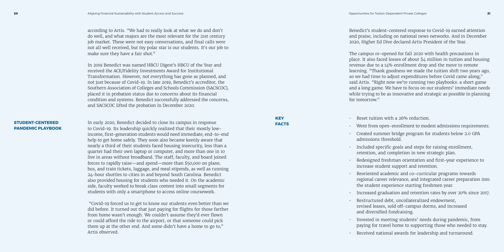according to Artis. "We had to really look at what we do and don't do well, and what majors are the most relevant for the 21st century job market. These were not easy conversations, and final calls were not all well received, but my polar star is our students. It's our job to make sure they have a fair shot."

In 2019 Benedict was named HBCU Digest's HBCU of the Year and received the ACE/Fidelity Investments Award for Institutional Transformation. However, not everything has gone as planned, and not just because of Covid-19. In late 2019, Benedict's accreditor, the Southern Association of Colleges and Schools Commission (SACSCOC), placed it in probation status due to concerns about its financial condition and systems. Benedict successfully addressed the concerns, and SACSCOC lifted the probation in December 2020.

In early 2020, Benedict decided to close its campus in response to Covid-19. Its leadership quickly realized that their mostly lowincome, first-generation students would need immediate, end-to-end help to get home safely. They soon also became keenly aware that nearly a third of their students faced housing insecurity, less than a quarter had their own laptop or computer, and more than one in 10 live in areas without broadband. The staff, faculty, and board joined forces to rapidly raise—and spend—more than \$50,000 on plane, bus, and train tickets, luggage, and meal stipends, as well as running 24-hour shuttles to cities in and beyond South Carolina. Benedict also provided housing for students who needed it. On the academic side, faculty worked to break class content into small segments for students with only a smartphone to access online coursework.

 "Covid-19 forced us to get to know our students even better than we did before. It turned out that just paying for flights for those farther from home wasn't enough. We couldn't assume they'd ever flown or could afford the ride to the airport, or that someone could pick them up at the other end. And some didn't have a home to go to," Artis observed.

#### **KEY FACTS**

Benedict's student-centered response to Covid-19 earned attention and praise, including on national news networks. And in December 2020, Higher Ed Dive declared Artis President of the Year.

The campus re-opened for fall 2020 with health precautions in place. It also faced losses of about \$4 million in tuition and housing revenue due to a 14% enrollment drop and the move to remote learning. "Thank goodness we made the tuition shift two years ago, so we had time to adjust expenditures before Covid came along," said Artis. "Right now we're running two playbooks: a short game and a long game. We have to focus on our students' immediate needs while trying to be as innovative and strategic as possible in planning

• Reset tuition with a 26% reduction.

- 
- for tomorrow."
- 
- Went from open-enrollment to modest admissions requirements.
- Created summer bridge program for students below 2.0 GPA admissions threshold.
- Included specific goals and steps for raising enrollment, retention, and completion in new strategic plan.
- Redesigned freshman orientation and first-year experience to increase student support and retention.
- Reoriented academic and co-curricular programs towards regional career relevance, and integrated career preparation into the student experience starting freshmen year.
- Increased graduation and retention rates by over 20% since 2017.
- Restructured debt, uncollateralized endowment, revised leases, sold off-campus dorms, and increased and diversified fundraising.
- Invested in meeting students' needs during pandemic, from paying for travel home to supporting those who needed to stay.
- Received national awards for leadership and turnaround.

#### **STUDENT-CENTERED PANDEMIC PLAYBOOK**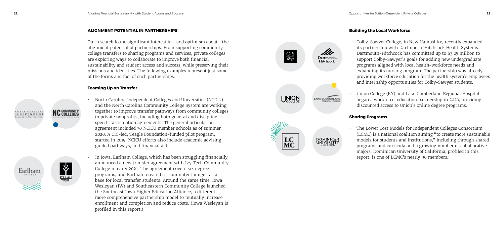#### **ALIGNMENT POTENTIAL IN PARTNERSHIPS**

Our research found significant interest in—and optimism about—the alignment potential of partnerships. From supporting community college transfers to sharing programs and services, private colleges are exploring ways to collaborate to improve both financial sustainability and student access and success, while preserving their missions and identities. The following examples represent just some of the forms and foci of such partnerships.

#### **Teaming Up on Transfer**



**IVY TECH** 





• In Iowa, Earlham College, which has been struggling financially, announced a new transfer agreement with Ivy Tech Community College in early 2021. The agreement covers six degree programs, and Earlham created a "commuter lounge" as a base for local transfer students. Around the same time, Iowa Wesleyan (IW) and Southeastern Community College launched the Southeast Iowa Higher Education Alliance, a different, more comprehensive partnership model to mutually increase enrollment and completion and reduce costs. (Iowa Wesleyan is profiled in this report.)



**DOMINICAN**<br>UNIVERSITY

 $\frac{C \cdot S}{1837}$ 

**LC** 

#### **Building the Local Workforce**

• Colby-Sawyer College, in New Hampshire, recently expanded its partnership with Dartmouth-Hitchcock Health Systems. Dartmouth-Hitchcock has committed up to \$3.25 million to support Colby-Sawyer's goals for adding new undergraduate programs aligned with local health-workforce needs and expanding its nursing program. The partnership was already providing workforce education for the health system's employees and internship opportunities for Colby-Sawyer students.

• Union College (KY) and Lake Cumberland Regional Hospital began a workforce-education partnership in 2020, providing discounted access to Union's online degree programs.

#### **Sharing Programs**

• The Lower Cost Models for Independent Colleges Consortium (LCMC) is a national coalition aiming "to create more sustainable models for students and institutions," including through shared programs and curricula and a growing number of collaborative majors. Dominican University of California, profiled in this report, is one of LCMC's nearly 90 members.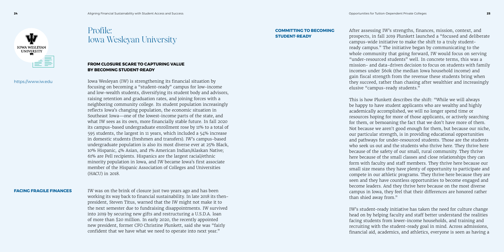

## Profile: Iowa Wesleyan University

#### **COMMITTING TO BECOMING STUDENT-READY**

#### **FACING FRAGILE FINANCES**

#### **FROM CLOSURE SCARE TO CAPTURING VALUE BY BECOMING STUDENT-READY**

Iowa Wesleyan (IW) is strengthening its financial situation by focusing on becoming a "student-ready" campus for low-income and low-wealth students, diversifying its student body and advisors, raising retention and graduation rates, and joining forces with a neighboring community college. Its student population increasingly reflects Iowa's changing population, the economic situation in Southeast Iowa—one of the lowest-income parts of the state, and what IW sees as its own, more financially stable future. In fall 2020 its campus-based undergraduate enrollment rose by 11% to a total of 595 students, the largest in 11 years, which included a 54% increase in domestic students (freshmen and transfers). IW's campus-based undergraduate population is also its most diverse ever at 25% Black, 10% Hispanic, 4% Asian, and 1% American Indian/Alaskan Native; 61% are Pell recipients. Hispanics are the largest racial/ethnic minority population in Iowa, and IW became Iowa's first associate member of the Hispanic Association of Colleges and Universities (HACU) in 2018.

IW was on the brink of closure just two years ago and has been working its way back to financial sustainability. In late 2018 its thenpresident, Steven Titus, warned that the IW might not make it to the next semester due to fundraising disappointments. IW survived into 2019 by securing new gifts and restructuring a U.S.D.A. loan of more than \$20 million. In early 2020, the recently appointed new president, former CFO Christine Plunkett, said she was "fairly confident that we have what we need to operate into next year."

After assessing IW's strengths, finances, mission, context, and prospects, in fall 2019 Plunkett launched a "focused and deliberate campus-wide initiative to make the shift to a truly studentready campus." The initiative began by communicating to the whole community that going forward, IW would focus on serving "under-resourced students" well. In concrete terms, this was a mission- and data-driven decision to focus on students with family incomes under \$60k (the median Iowa household income) and gain fiscal strength from the revenue these students bring when they succeed, rather than chasing after wealthier and increasingly elusive "campus-ready students."

This is how Plunkett describes the shift: "While we will always be happy to have student applicants who are wealthy and highly academically accomplished, we will no longer spend time or resources hoping for more of those applicants, or actively searching for them, or bemoaning the fact that we don't have more of them. Not because we aren't good enough for them, but because our niche, our particular strength, is in providing educational opportunities and pathways for under-resourced students. Those are the students who seek us out and the students who thrive here. They thrive here because of the safety of our small, rural community. They thrive here because of the small classes and close relationships they can form with faculty and staff members. They thrive here because our small size means they have plenty of opportunity to participate and compete in our athletic programs. They thrive here because they are seen and they have countless opportunities to become engaged and become leaders. And they thrive here because on the most diverse campus in Iowa, they feel that their differences are honored rather than shied away from."

IW's student-ready initiative has taken the need for culture change head on by helping faculty and staff better understand the realities facing students from lower-income households, and training and recruiting with the student-ready goal in mind. Across admissions, financial aid, academics, and athletics, everyone is seen as having a

#### https://www.iw.edu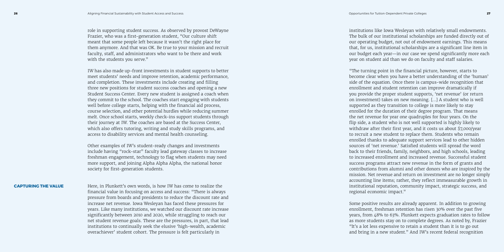role in supporting student success. As observed by provost DeWayne Frazier, who was a first-generation student, "Our culture shift meant that some people left because it wasn't the right place for them anymore. And that was OK. Be true to your mission and recruit faculty, staff, and administrators who want to be there and work with the students you serve."

IW has also made up-front investments in student supports to better meet students' needs and improve retention, academic performance, and completion. These investments include creating and filling three new positions for student success coaches and opening a new Student Success Center. Every new student is assigned a coach when they commit to the school. The coaches start engaging with students well before college starts, helping with the financial aid process, course selection, and other potential hurdles while reducing summer melt. Once school starts, weekly check-ins support students through their journey at IW. The coaches are based at the Success Center, which also offers tutoring, writing and study skills programs, and access to disability services and mental health counseling.

Other examples of IW's student-ready changes and investments include having "rock-star" faculty lead gateway classes to increase freshman engagement, technology to flag when students may need more support, and joining Alpha Alpha Alpha, the national honor society for first-generation students.

Here, in Plunkett's own words, is how IW has come to realize the financial value in focusing on access and success: "There is always pressure from boards and presidents to reduce the discount rate and increase net revenue. Iowa Wesleyan has faced these pressures for years. Like many institutions, we watched our discount rate increase significantly between 2010 and 2020, while struggling to reach our net student revenue goals. These are the pressures, in part, that lead institutions to continually seek the elusive 'high-wealth, academic overachiever' student cohort. The pressure is felt particularly in

institutions like Iowa Wesleyan with relatively small endowments. The bulk of our institutional scholarships are funded directly out of our operating budget, not out of endowment earnings. This means that, for us, institutional scholarships are a significant line item in our budget each year—in our case we spend significantly more each year on student aid than we do on faculty and staff salaries.

"The turning point in the financial picture, however, starts to become clear when you have a better understanding of the 'human' side of the equation. Once there is campus-wide recognition that enrollment and student retention can improve dramatically if you provide the proper student supports, 'net revenue' (or return on investment) takes on new meaning. […] A student who is well supported as they transition to college is more likely to stay enrolled for the duration of their degree program. That means the net revenue for year one quadruples for four years. On the flip side, a student who is not well supported is highly likely to withdraw after their first year, and it costs us about \$7,000/year to recruit a new student to replace them. Students who remain enrolled thanks to adequate support services lead to other hidden sources of 'net revenue.' Satisfied students will spread the word back to their friends, family, neighbors, and high schools, leading to increased enrollment and increased revenue. Successful student success programs attract new revenue in the form of grants and contributions from alumni and other donors who are inspired by the mission. Net revenue and return on investment are no longer simply accounting line items; rather, they reflect immeasurable growth in institutional reputation, community impact, strategic success, and regional economic impact."

Some positive results are already apparent. In addition to growing enrollment, freshman retention has risen 30% over the past five years, from 48% to 63%. Plunkett expects graduation rates to follow as more students stay on to complete degrees. As noted by, Frazier "It's a lot less expensive to retain a student than it is to go out and bring in a new student." And IW's recent federal recognition

#### **CAPTURING THE VALUE**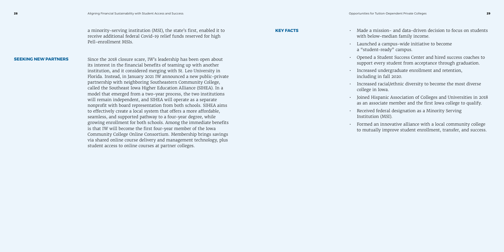a minority-serving institution (MSI), the state's first, enabled it to receive additional federal Covid-19 relief funds reserved for high Pell-enrollment MSIs. Since the 2018 closure scare, IW's leadership has been open about its interest in the financial benefits of teaming up with another institution, and it considered merging with St. Leo University in Florida. Instead, in January 2021 IW announced a new public-private partnership with neighboring Southeastern Community College, called the Southeast Iowa Higher Education Alliance (SIHEA). In a model that emerged from a two-year process, the two institutions will remain independent, and SIHEA will operate as a separate nonprofit with board representation from both schools. SIHEA aims to effectively create a local system that offers a more affordable, seamless, and supported pathway to a four-year degree, while growing enrollment for both schools. Among the immediate benefits is that IW will become the first four-year member of the Iowa • Made a mission- and data-driven decision to focus on students with below-median family income. • Launched a campus-wide initiative to become a "student-ready" campus. • Opened a Student Success Center and hired success coaches to support every student from acceptance through graduation. • Increased undergraduate enrollment and retention, including in fall 2020. • Increased racial/ethnic diversity to become the most diverse college in Iowa. • Joined Hispanic Association of Colleges and Universities in 2018 as an associate member and the first Iowa college to qualify. • Received federal designation as a Minority Serving Institution (MSI). • Formed an innovative alliance with a local community college **KEY FACTS SEEKING NEW PARTNERS**

Community College Online Consortium. Membership brings savings via shared online course delivery and management technology, plus

student access to online courses at partner colleges.

- 
- 
- 
- 
- 
- 
- to mutually improve student enrollment, transfer, and success.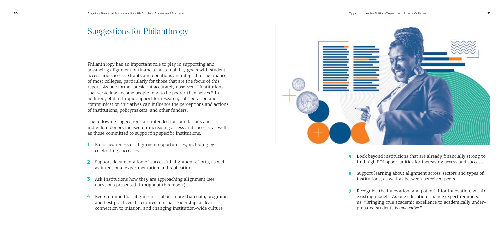Philanthropy has an important role to play in supporting and advancing alignment of financial sustainability goals with student access and success. Grants and donations are integral to the finances of most colleges, particularly for those that are the focus of this report. As one former president accurately observed, "Institutions that serve low-income people tend to be poorer themselves." In addition, philanthropic support for research, collaboration and communication initiatives can influence the perceptions and actions of institutions, policymakers, and other funders.

The following suggestions are intended for foundations and individual donors focused on increasing access and success, as well as those committed to supporting specific institutions.

- Raise awareness of alignment opportunities, including by **1** celebrating successes.
- Support documentation of successful alignment efforts, as well **2** as intentional experimentation and replication.
- **3** Ask institutions how they are approaching alignment (see questions presented throughout this report).
- Keep in mind that alignment is about more than data, programs, **4**and best practices. It requires internal leadership, a clear connection to mission, and changing institution-wide culture.



- 
- 
- 

# Suggestions for Philanthropy

• Look beyond institutions that are already financially strong to **5** find high ROI opportunities for increasing access and success.

• Support learning about alignment across sectors and types of **6** institutions, as well as between perceived peers.

• Recognize the innovation, and potential for innovation, within **7** existing models. As one education finance expert reminded us: "Bringing true academic excellence to academically underprepared students *is innovative.*"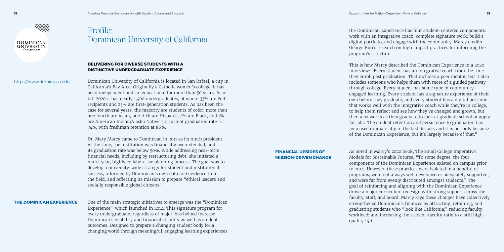

## Profile: Dominican University of California

#### **THE DOMINICAN EXPERIENCE**

#### **DELIVERING FOR DIVERSE STUDENTS WITH A DISTINCTIVE UNDERGRADUATE EXPERIENCE**

Dominican University of California is located in San Rafael, a city in California's Bay Area. Originally a Catholic women's college, it has been independent and co-educational for more than 50 years. As of fall 2020 it has nearly 1,400 undergraduates, of whom 33% are Pell recipients and 23% are first-generation students. As has been the case for several years, the majority are students of color: more than one fourth are Asian, one fifth are Hispanic, 4% are Black, and 1% are American Indian/Alaska Native. Its current graduation rate is 74%, with freshman retention at 86%.

Dr. Mary Marcy came to Dominican in 2011 as its ninth president. At the time, the institution was financially overextended, and its graduation rate was below 50%. While addressing near-term financial needs, including by restructuring debt, she initiated a multi-year, highly collaborative planning process. The goal was to develop a university-wide strategy for student and institutional success, informed by Dominican's own data and evidence from the field, and reflecting its mission to prepare "ethical leaders and socially responsible global citizens."

One of the main strategic initiatives to emerge was the "Dominican Experience," which launched in 2014. This signature program for every undergraduate, regardless of major, has helped increase Dominican's visibility and financial stability as well as student outcomes. Designed to prepare a changing student body for a changing world through meaningful, engaging learning experiences, the Dominican Experience has four student-centered components: work with an integrative coach, complete signature work, build a digital portfolio, and engage with the community. Marcy credits George Kuh's research on high-impact practices for informing the program's structure.

This is how Marcy described the Dominican Experience in a 2020 interview: "Every student has an integrative coach from the time they enroll past graduation. That includes a peer mentor, but it also includes someone who helps them with more of a guided pathway through college. Every student has some type of communityengaged learning. Every student has a signature experience of their own before they graduate, and every student has a digital portfolio that works well with the integrative coach while they're in college, to help them reflect and see how they've changed and grown, but then also works as they graduate to look at graduate school or apply for jobs. The student retention and persistence to graduation has increased dramatically in the last decade, and it is not only because of the Dominican Experience, but it's largely because of that."

As noted in Marcy's 2020 book, The Small College Imperative: Models for Sustainable Futures, "To some degree, the four components of the Dominican Experience existed on campus prior to 2014. However, these practices were isolated in a handful of programs, were not always well developed or adequately supported, and were far from evenly distributed amongst students." The goal of reinforcing and aligning with the Dominican Experience drove a major curriculum redesign with strong support across the faculty, staff, and board. Marcy says these changes have collectively strengthened Dominican's finances by attracting, retaining, and graduating students who "look like California;" reducing faculty workload; and increasing the student-faculty ratio to a still highquality 14:1.

#### **FINANCIAL UPSIDES OF MISSION-DRIVEN CHANGE**

https://www.dominican.edu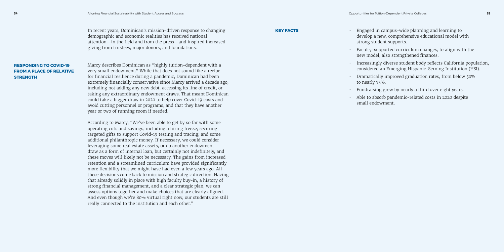- 
- 
- 
- 
- 
- 

#### In recent years, Dominican's mission-driven response to changing **KEY FACTS** demographic and economic realities has received national attention—in the field and from the press—and inspired increased giving from trustees, major donors, and foundations.

Marcy describes Dominican as "highly tuition-dependent with a very small endowment." While that does not sound like a recipe for financial resilience during a pandemic, Dominican had been extremely financially conservative since Marcy arrived a decade ago, including not adding any new debt, accessing its line of credit, or taking any extraordinary endowment draws. That meant Dominican could take a bigger draw in 2020 to help cover Covid-19 costs and avoid cutting personnel or programs, and that they have another year or two of running room if needed.

According to Marcy, "We've been able to get by so far with some operating cuts and savings, including a hiring freeze; securing targeted gifts to support Covid-19 testing and tracing; and some additional philanthropic money. If necessary, we could consider leveraging some real estate assets, or do another endowment draw as a form of internal loan, but certainly not indefinitely, and these moves will likely not be necessary. The gains from increased retention and a streamlined curriculum have provided significantly more flexibility that we might have had even a few years ago. All these decisions come back to mission and strategic direction. Having that already solidly in place with high faculty buy-in, a history of strong financial management, and a clear strategic plan, we can assess options together and make choices that are clearly aligned. And even though we're 80% virtual right now, our students are still really connected to the institution and each other."

• Engaged in campus-wide planning and learning to develop a new, comprehensive educational model with strong student supports.

• Faculty-supported curriculum changes, to align with the new model, also strengthened finances.

• Increasingly diverse student body reflects California population, considered an Emerging Hispanic-Serving Institution (HSI).

• Dramatically improved graduation rates, from below 50% to nearly 75%.

• Fundraising grew by nearly a third over eight years.

• Able to absorb pandemic-related costs in 2020 despite small endowment.

### **RESPONDING TO COVID-19 FROM A PLACE OF RELATIVE STRENGTH**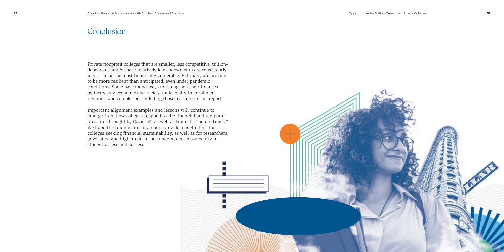## **Conclusion**

Private nonprofit colleges that are smaller, less competitive, tuitiondependent, and/or have relatively low endowments are consistently identified as the most financially vulnerable. But many are proving to be more resilient than anticipated, even under pandemic conditions. Some have found ways to strengthen their finances by increasing economic and racial/ethnic equity in enrollment, retention and completion, including those featured in this report.

Important alignment examples and lessons will continue to emerge from how colleges respond to the financial and temporal pressures brought by Covid-19, as well as from the "before times." We hope the findings in this report provide a useful lens for colleges seeking financial sustainability, as well as for researchers, advocates, and higher education funders focused on equity in student access and success.

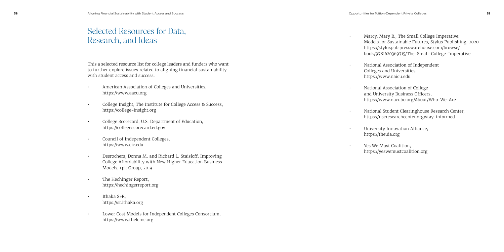|                                                                                                                                                                                      | <b>DUUN</b>                                          |
|--------------------------------------------------------------------------------------------------------------------------------------------------------------------------------------|------------------------------------------------------|
| This a selected resource list for college leaders and funders who want<br>to further explore issues related to aligning financial sustainability<br>with student access and success. | Natio<br>Colle<br>https                              |
| American Association of Colleges and Universities,<br>$\bullet$<br>https://www.aacu.org                                                                                              | Natio<br>and l                                       |
| College Insight, The Institute for College Access & Success,<br>https://college-insight.org<br>$\bullet$                                                                             | https<br>Natio<br>https<br><b>Unive</b><br>$\bullet$ |
| College Scorecard, U.S. Department of Education,<br>https://collegescorecard.ed.gov                                                                                                  |                                                      |
| Council of Independent Colleges,<br>https://www.cic.edu<br>$\bullet$                                                                                                                 | https<br>Yes V                                       |
| Desrochers, Donna M. and Richard L. Staisloff, Improving<br>College Affordability with New Higher Education Business<br>Models, rpk Group, 2019                                      | https                                                |
| The Hechinger Report,<br>https://hechingerreport.org                                                                                                                                 |                                                      |
| Ithaka S+R,<br>https://sr.ithaka.org                                                                                                                                                 |                                                      |
| Lower Cost Models for Independent Colleges Consortium,                                                                                                                               |                                                      |

https://www.thelcmc.org

# Selected Resources for Data, Research, and Ideas

• Marcy, Mary B., The Small College Imperative: Models for Sustainable Futures, Stylus Publishing, 2020 https://styluspub.presswarehouse.com/browse/ book/9781620369715/The-Small-College-Imperative

> onal Association of Independent eges and Universities, s://www.naicu.edu

onal Association of College University Business Officers, s://www.nacubo.org/About/Who-We-Are

onal Student Clearinghouse Research Center, s://nscresearchcenter.org/stay-informed

versity Innovation Alliance, s://theuia.org

We Must Coalition, s://yeswemustcoalition.org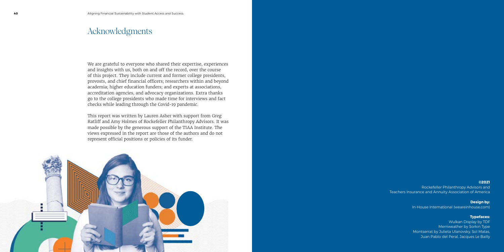We are grateful to everyone who shared their expertise, experiences and insights with us, both on and off the record, over the course of this project. They include current and former college presidents, provosts, and chief financial officers; researchers within and beyond academia; higher education funders; and experts at associations, accreditation agencies, and advocacy organizations. Extra thanks go to the college presidents who made time for interviews and fact checks while leading through the Covid-19 pandemic.

This report was written by Lauren Asher with support from Greg Ratliff and Amy Holmes of Rockefeller Philanthropy Advisors. It was made possible by the generous support of the TIAA Institute. The views expressed in the report are those of the authors and do not represent official positions or policies of its funder.



### Acknowledgments

**©2021** Rockefeller Philanthropy Advisors and Teachers Insurance and Annuity Association of America

> **Design by:** In-House International (weareinhouse.com)

#### **Typefaces:**

Wulkan Display by TDF Merriweather by Sorkin Type Montserrat by Julieta Ulanovsky, Sol Matas, Juan Pablo del Peral, Jacques Le Bailly